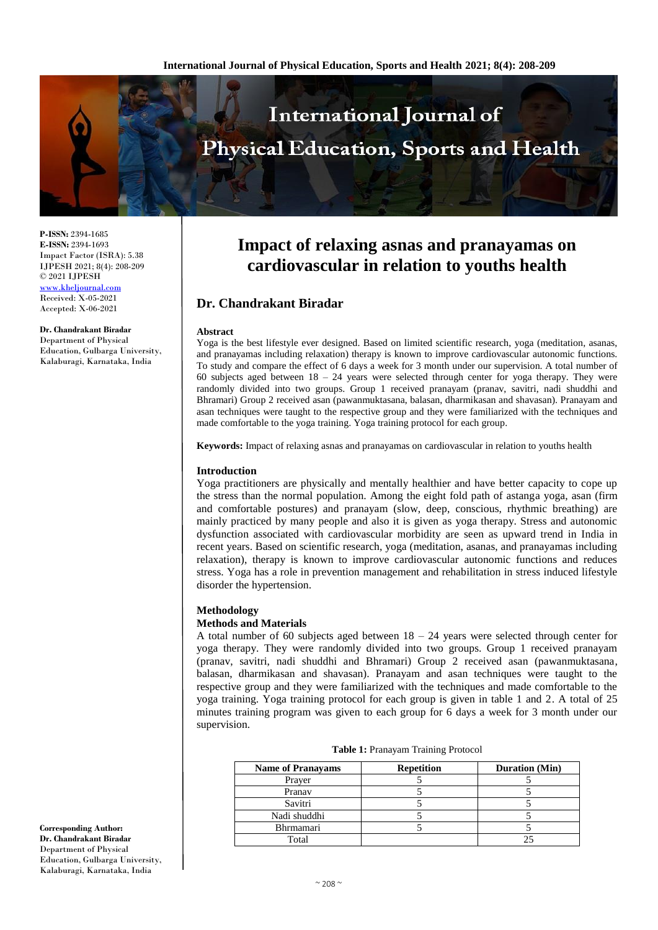

**P-ISSN:** 2394-1685 **E-ISSN:** 2394-1693 Impact Factor (ISRA): 5.38 IJPESH 2021; 8(4): 208-209 © 2021 IJPESH [www.kheljournal.com](http://www.kheljournal.com/) Received: X-05-2021 Accepted: X-06-2021

**Dr. Chandrakant Biradar** Department of Physical Education, Gulbarga University, Kalaburagi, Karnataka, India

# **Impact of relaxing asnas and pranayamas on cardiovascular in relation to youths health**

# **Dr. Chandrakant Biradar**

#### **Abstract**

Yoga is the best lifestyle ever designed. Based on limited scientific research, yoga (meditation, asanas, and pranayamas including relaxation) therapy is known to improve cardiovascular autonomic functions. To study and compare the effect of 6 days a week for 3 month under our supervision. A total number of 60 subjects aged between 18 – 24 years were selected through center for yoga therapy. They were randomly divided into two groups. Group 1 received pranayam (pranav, savitri, nadi shuddhi and Bhramari) Group 2 received asan (pawanmuktasana, balasan, dharmikasan and shavasan). Pranayam and asan techniques were taught to the respective group and they were familiarized with the techniques and made comfortable to the yoga training. Yoga training protocol for each group.

**Keywords:** Impact of relaxing asnas and pranayamas on cardiovascular in relation to youths health

### **Introduction**

Yoga practitioners are physically and mentally healthier and have better capacity to cope up the stress than the normal population. Among the eight fold path of astanga yoga, asan (firm and comfortable postures) and pranayam (slow, deep, conscious, rhythmic breathing) are mainly practiced by many people and also it is given as yoga therapy. Stress and autonomic dysfunction associated with cardiovascular morbidity are seen as upward trend in India in recent years. Based on scientific research, yoga (meditation, asanas, and pranayamas including relaxation), therapy is known to improve cardiovascular autonomic functions and reduces stress. Yoga has a role in prevention management and rehabilitation in stress induced lifestyle disorder the hypertension.

#### **Methodology**

## **Methods and Materials**

A total number of 60 subjects aged between  $18 - 24$  years were selected through center for yoga therapy. They were randomly divided into two groups. Group 1 received pranayam (pranav, savitri, nadi shuddhi and Bhramari) Group 2 received asan (pawanmuktasana, balasan, dharmikasan and shavasan). Pranayam and asan techniques were taught to the respective group and they were familiarized with the techniques and made comfortable to the yoga training. Yoga training protocol for each group is given in table 1 and 2. A total of 25 minutes training program was given to each group for 6 days a week for 3 month under our supervision.

| Table 1: Pranayam Training Protocol |  |
|-------------------------------------|--|
|-------------------------------------|--|

| <b>Name of Pranayams</b> | <b>Repetition</b> | <b>Duration</b> (Min) |  |
|--------------------------|-------------------|-----------------------|--|
| Prayer                   |                   |                       |  |
| Pranav                   |                   |                       |  |
| Savitri                  |                   |                       |  |
| Nadi shuddhi             |                   |                       |  |
| Bhrmamari                |                   |                       |  |
| Total                    |                   |                       |  |

**Corresponding Author: Dr. Chandrakant Biradar** Department of Physical Education, Gulbarga University, Kalaburagi, Karnataka, India